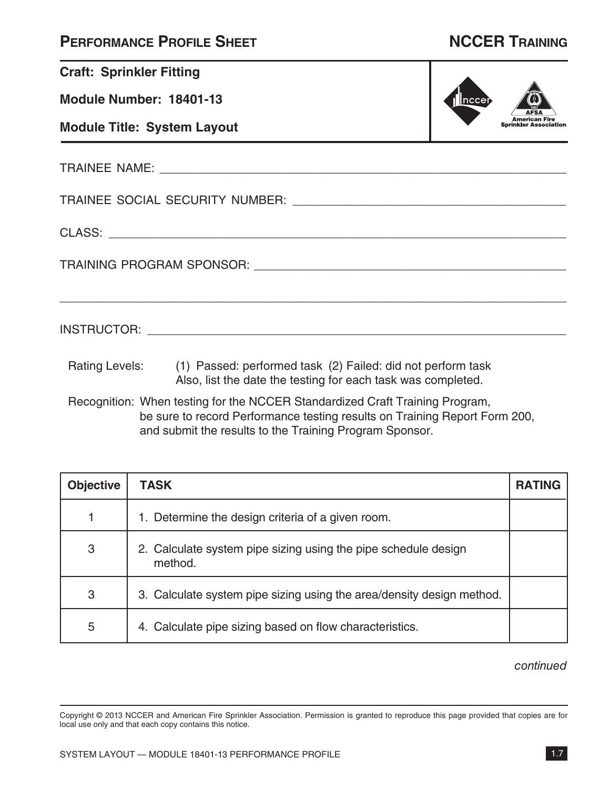| <b>PERFORMANCE PROFILE SHEET</b> |  |  |
|----------------------------------|--|--|
|----------------------------------|--|--|

| <b>Craft: Sprinkler Fitting</b>    |                                                                                                                                            |  |
|------------------------------------|--------------------------------------------------------------------------------------------------------------------------------------------|--|
| Module Number: 18401-13<br>∥nccei  |                                                                                                                                            |  |
| <b>Module Title: System Layout</b> |                                                                                                                                            |  |
|                                    |                                                                                                                                            |  |
|                                    |                                                                                                                                            |  |
|                                    |                                                                                                                                            |  |
|                                    |                                                                                                                                            |  |
|                                    |                                                                                                                                            |  |
|                                    | Rating Levels: (1) Passed: performed task (2) Failed: did not perform task<br>Also, list the date the testing for each task was completed. |  |
|                                    |                                                                                                                                            |  |

Recognition: When testing for the NCCER Standardized Craft Training Program, be sure to record Performance testing results on Training Report Form 200, and submit the results to the Training Program Sponsor.

| <b>Objective</b> | <b>TASK</b>                                                               | <b>RATING</b> |
|------------------|---------------------------------------------------------------------------|---------------|
|                  | 1. Determine the design criteria of a given room.                         |               |
| 3                | 2. Calculate system pipe sizing using the pipe schedule design<br>method. |               |
| 3                | 3. Calculate system pipe sizing using the area/density design method.     |               |
| 5                | 4. Calculate pipe sizing based on flow characteristics.                   |               |

continued

Copyright © 2013 NCCER and American Fire Sprinkler Association. Permission is granted to reproduce this page provided that copies are for local use only and that each copy contains this notice.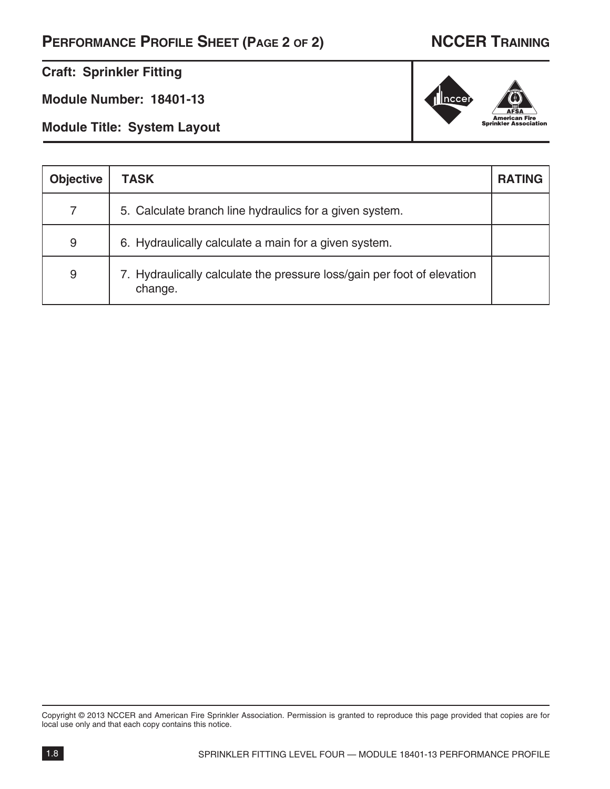# **PERFORMANCE PROFILE SHEET (PAGE 2 OF 2) NCCER TRAINING**

### **Craft: Sprinkler Fitting**

**Module Number: 18401-13**

**Module Title: System Layout**

| <b>Objective</b> | <b>TASK</b>                                                                        | <b>RATING</b> |
|------------------|------------------------------------------------------------------------------------|---------------|
| 7                | 5. Calculate branch line hydraulics for a given system.                            |               |
| 9                | 6. Hydraulically calculate a main for a given system.                              |               |
| 9                | 7. Hydraulically calculate the pressure loss/gain per foot of elevation<br>change. |               |

Copyright © 2013 NCCER and American Fire Sprinkler Association. Permission is granted to reproduce this page provided that copies are for local use only and that each copy contains this notice.

# $\parallel$ ncce **American Fire<br>Sprinkler Association**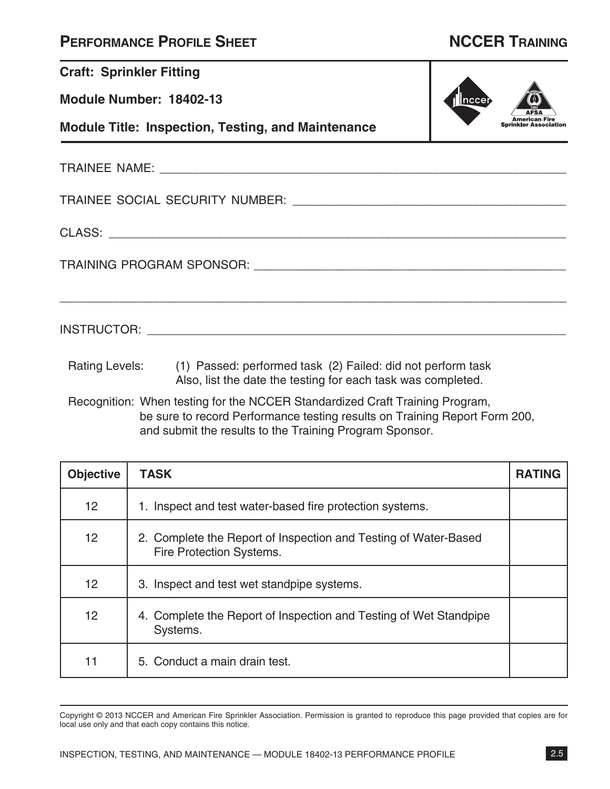| <b>PERFORMANCE PROFILE SHEET</b> |  |  |
|----------------------------------|--|--|
|----------------------------------|--|--|

| <b>Craft: Sprinkler Fitting</b> |                                                                                                                                                            |  |  |
|---------------------------------|------------------------------------------------------------------------------------------------------------------------------------------------------------|--|--|
| Module Number: 18402-13         | Inccer                                                                                                                                                     |  |  |
|                                 | <b>Module Title: Inspection, Testing, and Maintenance</b>                                                                                                  |  |  |
|                                 |                                                                                                                                                            |  |  |
|                                 |                                                                                                                                                            |  |  |
|                                 |                                                                                                                                                            |  |  |
|                                 |                                                                                                                                                            |  |  |
|                                 |                                                                                                                                                            |  |  |
|                                 | Rating Levels: (1) Passed: performed task (2) Failed: did not perform task<br>Also, list the date the testing for each task was completed.                 |  |  |
|                                 | Recognition: When testing for the NCCER Standardized Craft Training Program,<br>be sure to record Performance testing results on Training Report Form 200, |  |  |

and submit the results to the Training Program Sponsor.

| <b>Objective</b> | <b>TASK</b>                                                                                 | <b>RATING</b> |
|------------------|---------------------------------------------------------------------------------------------|---------------|
| 12               | 1. Inspect and test water-based fire protection systems.                                    |               |
| 12               | 2. Complete the Report of Inspection and Testing of Water-Based<br>Fire Protection Systems. |               |
| 12               | 3. Inspect and test wet standpipe systems.                                                  |               |
| 12               | 4. Complete the Report of Inspection and Testing of Wet Standpipe<br>Systems.               |               |
| 11               | 5. Conduct a main drain test.                                                               |               |

Copyright © 2013 NCCER and American Fire Sprinkler Association. Permission is granted to reproduce this page provided that copies are for local use only and that each copy contains this notice.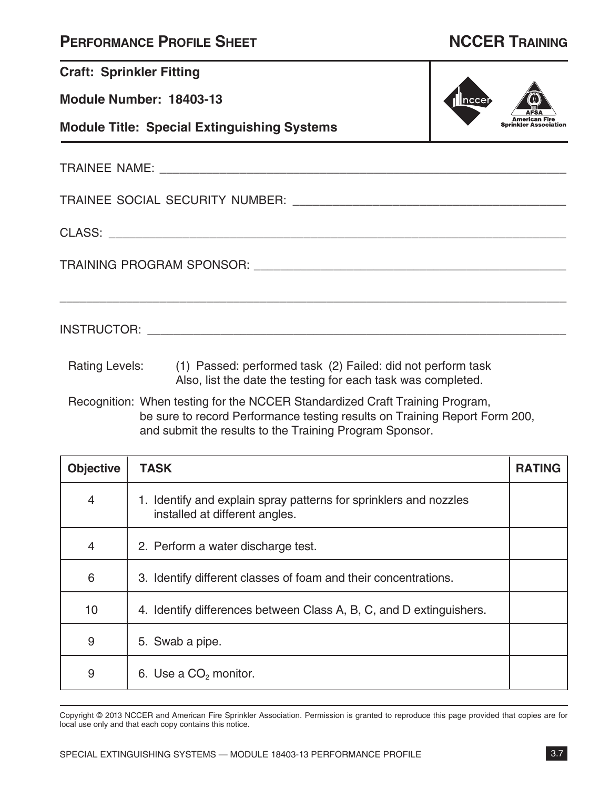|  | <b>PERFORMANCE PROFILE SHEET</b> |
|--|----------------------------------|
|--|----------------------------------|

|                  | <b>Craft: Sprinkler Fitting</b>                                                                                                                                                                                       |      |               |
|------------------|-----------------------------------------------------------------------------------------------------------------------------------------------------------------------------------------------------------------------|------|---------------|
|                  | Module Number: 18403-13                                                                                                                                                                                               | ncce |               |
|                  | <b>Module Title: Special Extinguishing Systems</b>                                                                                                                                                                    |      |               |
|                  |                                                                                                                                                                                                                       |      |               |
|                  |                                                                                                                                                                                                                       |      |               |
|                  |                                                                                                                                                                                                                       |      |               |
|                  |                                                                                                                                                                                                                       |      |               |
|                  |                                                                                                                                                                                                                       |      |               |
|                  | Rating Levels: (1) Passed: performed task (2) Failed: did not perform task<br>Also, list the date the testing for each task was completed.                                                                            |      |               |
|                  | Recognition: When testing for the NCCER Standardized Craft Training Program,<br>be sure to record Performance testing results on Training Report Form 200,<br>and submit the results to the Training Program Sponsor. |      |               |
| <b>Objective</b> | <b>TASK</b>                                                                                                                                                                                                           |      | <b>RATING</b> |

| <b>Objective</b> | <b>TASK</b>                                                                                         | <b>RATING</b> |
|------------------|-----------------------------------------------------------------------------------------------------|---------------|
| 4                | 1. Identify and explain spray patterns for sprinklers and nozzles<br>installed at different angles. |               |
| $\overline{4}$   | 2. Perform a water discharge test.                                                                  |               |
| 6                | 3. Identify different classes of foam and their concentrations.                                     |               |
| 10               | 4. Identify differences between Class A, B, C, and D extinguishers.                                 |               |
| 9                | 5. Swab a pipe.                                                                                     |               |
| 9                | 6. Use a CO <sub>2</sub> monitor.                                                                   |               |

Copyright © 2013 NCCER and American Fire Sprinkler Association. Permission is granted to reproduce this page provided that copies are for local use only and that each copy contains this notice.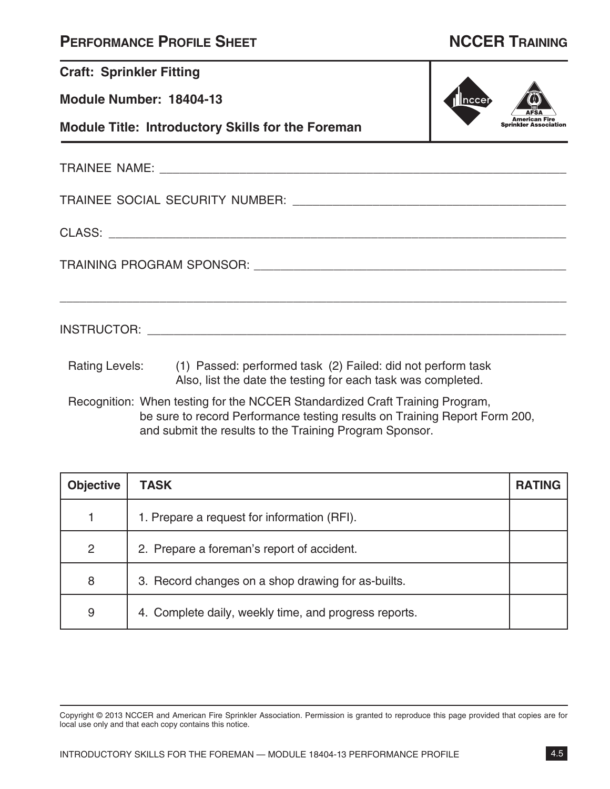| <b>PERFORMANCE PROFILE SHEET</b> |  |  |
|----------------------------------|--|--|
|----------------------------------|--|--|

| <b>Craft: Sprinkler Fitting</b>   |                                                                                                                                                           |  |  |  |  |
|-----------------------------------|-----------------------------------------------------------------------------------------------------------------------------------------------------------|--|--|--|--|
| Module Number: 18404-13<br> nccer |                                                                                                                                                           |  |  |  |  |
|                                   | <b>Sprinkler Association</b><br><b>Module Title: Introductory Skills for the Foreman</b>                                                                  |  |  |  |  |
|                                   |                                                                                                                                                           |  |  |  |  |
|                                   |                                                                                                                                                           |  |  |  |  |
|                                   |                                                                                                                                                           |  |  |  |  |
|                                   |                                                                                                                                                           |  |  |  |  |
|                                   |                                                                                                                                                           |  |  |  |  |
|                                   | Rating Levels: (1) Passed: performed task (2) Failed: did not perform task<br>Also, list the date the testing for each task was completed.                |  |  |  |  |
|                                   | Recognition: When testing for the NCCER Standardized Craft Training Program,<br>he sure to record Performance testing results on Training Report Form 200 |  |  |  |  |

be sure to record Performance testing results on Training Report Form 200, and submit the results to the Training Program Sponsor.

| <b>Objective</b> | <b>TASK</b>                                           | <b>RATING</b> |
|------------------|-------------------------------------------------------|---------------|
|                  | 1. Prepare a request for information (RFI).           |               |
| $\overline{2}$   | 2. Prepare a foreman's report of accident.            |               |
| 8                | 3. Record changes on a shop drawing for as-builts.    |               |
| 9                | 4. Complete daily, weekly time, and progress reports. |               |

Copyright © 2013 NCCER and American Fire Sprinkler Association. Permission is granted to reproduce this page provided that copies are for local use only and that each copy contains this notice.